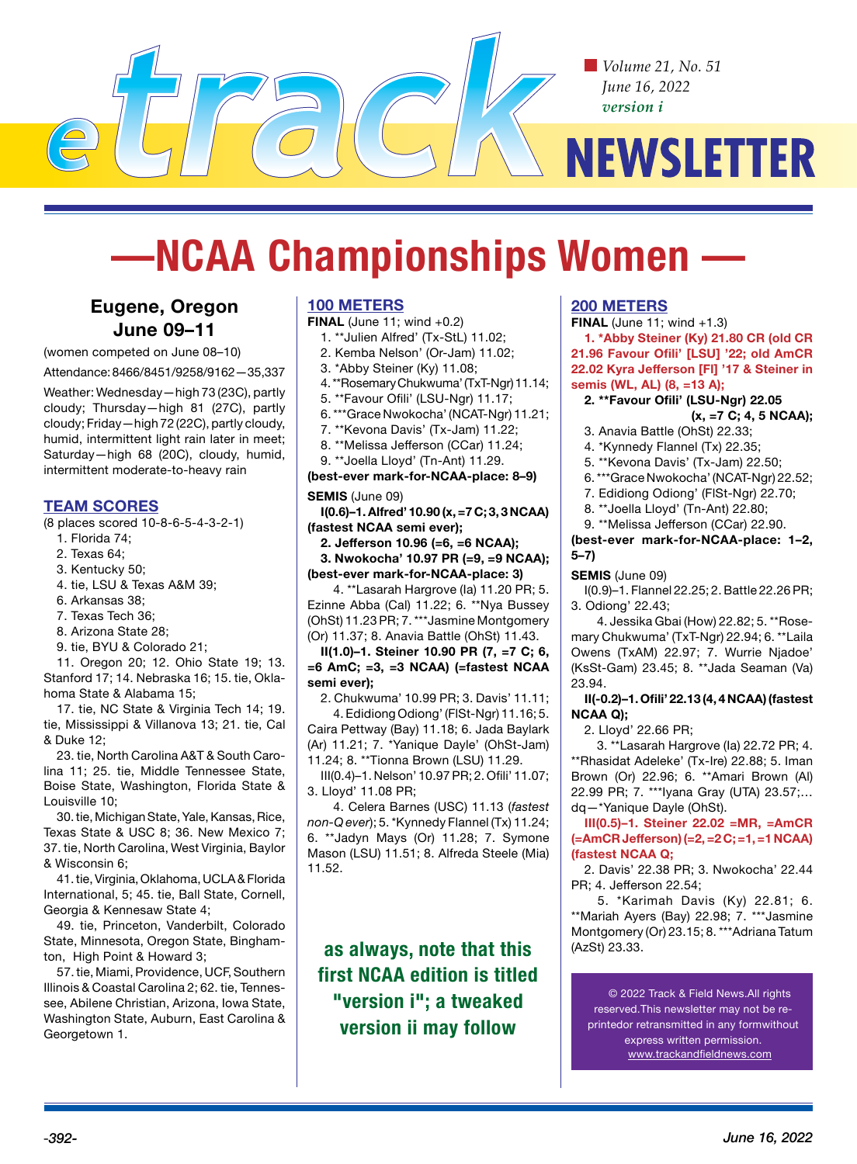*Volume 21, No. 51 June 16, 2022 version i*

# **NEWSLETTER**

# **—NCAA Championships Women —**

# **Eugene, Oregon June 09–11**

(women competed on June 08–10)

Attendance: 8466/8451/9258/9162—35,337

Weather: Wednesday—high 73 (23C), partly cloudy; Thursday—high 81 (27C), partly cloudy; Friday—high 72 (22C), partly cloudy, humid, intermittent light rain later in meet; Saturday—high 68 (20C), cloudy, humid, intermittent moderate-to-heavy rain

#### **TEAM SCORES**

(8 places scored 10-8-6-5-4-3-2-1)

- 1. Florida 74;
- 2. Texas 64;
- 3. Kentucky 50;
- 4. tie, LSU & Texas A&M 39;
- 6. Arkansas 38;
- 7. Texas Tech 36;
- 8. Arizona State 28;
- 9. tie, BYU & Colorado 21;

11. Oregon 20; 12. Ohio State 19; 13. Stanford 17; 14. Nebraska 16; 15. tie, Oklahoma State & Alabama 15;

17. tie, NC State & Virginia Tech 14; 19. tie, Mississippi & Villanova 13; 21. tie, Cal & Duke 12;

23. tie, North Carolina A&T & South Carolina 11; 25. tie, Middle Tennessee State, Boise State, Washington, Florida State & Louisville 10;

30. tie, Michigan State, Yale, Kansas, Rice, Texas State & USC 8; 36. New Mexico 7; 37. tie, North Carolina, West Virginia, Baylor & Wisconsin 6;

41. tie, Virginia, Oklahoma, UCLA & Florida International, 5; 45. tie, Ball State, Cornell, Georgia & Kennesaw State 4;

49. tie, Princeton, Vanderbilt, Colorado State, Minnesota, Oregon State, Binghamton, High Point & Howard 3;

57. tie, Miami, Providence, UCF, Southern Illinois & Coastal Carolina 2; 62. tie, Tennessee, Abilene Christian, Arizona, Iowa State, Washington State, Auburn, East Carolina & Georgetown 1.

#### **100 METERS**

**FINAL** (June 11; wind +0.2)

- 1. \*\*Julien Alfred' (Tx-StL) 11.02;
- 2. Kemba Nelson' (Or-Jam) 11.02;
- 3. \*Abby Steiner (Ky) 11.08;
- 4. \*\*Rosemary Chukwuma' (TxT-Ngr) 11.14;
- 5. \*\*Favour Ofili' (LSU-Ngr) 11.17;
- 6. \*\*\*Grace Nwokocha' (NCAT-Ngr) 11.21;
- 7. \*\*Kevona Davis' (Tx-Jam) 11.22;
- 8. \*\*Melissa Jefferson (CCar) 11.24;
- 9. \*\*Joella Lloyd' (Tn-Ant) 11.29.

**(best-ever mark-for-NCAA-place: 8–9)**

#### **SEMIS** (June 09)

**I(0.6)–1. Alfred' 10.90 (x, =7 C; 3, 3 NCAA) (fastest NCAA semi ever);** 

**2. Jefferson 10.96 (=6, =6 NCAA);** 

**3. Nwokocha' 10.97 PR (=9, =9 NCAA); (best-ever mark-for-NCAA-place: 3)**

4. \*\*Lasarah Hargrove (Ia) 11.20 PR; 5. Ezinne Abba (Cal) 11.22; 6. \*\*Nya Bussey (OhSt) 11.23 PR; 7. \*\*\*Jasmine Montgomery (Or) 11.37; 8. Anavia Battle (OhSt) 11.43.

**II(1.0)–1. Steiner 10.90 PR (7, =7 C; 6, =6 AmC; =3, =3 NCAA) (=fastest NCAA semi ever);** 

2. Chukwuma' 10.99 PR; 3. Davis' 11.11; 4. Edidiong Odiong' (FlSt-Ngr) 11.16; 5. Caira Pettway (Bay) 11.18; 6. Jada Baylark (Ar) 11.21; 7. \*Yanique Dayle' (OhSt-Jam) 11.24; 8. \*\*Tionna Brown (LSU) 11.29.

III(0.4)–1. Nelson' 10.97 PR; 2. Ofili' 11.07; 3. Lloyd' 11.08 PR;

4. Celera Barnes (USC) 11.13 (*fastest non-Q ever*); 5. \*Kynnedy Flannel (Tx) 11.24; 6. \*\*Jadyn Mays (Or) 11.28; 7. Symone Mason (LSU) 11.51; 8. Alfreda Steele (Mia) 11.52.

**as always, note that this first NCAA edition is titled "version i"; a tweaked version ii may follow**

#### **200 METERS**

**FINAL** (June 11; wind +1.3)

**1. \*Abby Steiner (Ky) 21.80 CR (old CR 21.96 Favour Ofili' [LSU] '22; old AmCR 22.02 Kyra Jefferson [Fl] '17 & Steiner in semis (WL, AL) (8, =13 A);**

#### **2. \*\*Favour Ofili' (LSU-Ngr) 22.05 (x, =7 C; 4, 5 NCAA);**

- 3. Anavia Battle (OhSt) 22.33;
- 4. \*Kynnedy Flannel (Tx) 22.35;
- 5. \*\*Kevona Davis' (Tx-Jam) 22.50;
- 6. \*\*\*Grace Nwokocha' (NCAT-Ngr) 22.52;
- 7. Edidiong Odiong' (FlSt-Ngr) 22.70;
- 8. \*\*Joella Lloyd' (Tn-Ant) 22.80;
- 9. \*\*Melissa Jefferson (CCar) 22.90.

**(best-ever mark-for-NCAA-place: 1–2, 5–7)**

#### **SEMIS** (June 09)

I(0.9)–1. Flannel 22.25; 2. Battle 22.26 PR; 3. Odiong' 22.43;

4. Jessika Gbai (How) 22.82; 5. \*\*Rosemary Chukwuma' (TxT-Ngr) 22.94; 6. \*\*Laila Owens (TxAM) 22.97; 7. Wurrie Njadoe' (KsSt-Gam) 23.45; 8. \*\*Jada Seaman (Va) 23.94.

**II(-0.2)–1. Ofili' 22.13 (4, 4 NCAA) (fastest NCAA Q);** 

2. Lloyd' 22.66 PR;

3. \*\*Lasarah Hargrove (Ia) 22.72 PR; 4. \*\*Rhasidat Adeleke' (Tx-Ire) 22.88; 5. Iman Brown (Or) 22.96; 6. \*\*Amari Brown (Al) 22.99 PR; 7. \*\*\*Iyana Gray (UTA) 23.57;… dq—\*Yanique Dayle (OhSt).

**III(0.5)–1. Steiner 22.02 =MR, =AmCR (=AmCR Jefferson) (=2, =2 C; =1, =1 NCAA) (fastest NCAA Q;** 

2. Davis' 22.38 PR; 3. Nwokocha' 22.44 PR; 4. Jefferson 22.54;

5. \*Karimah Davis (Ky) 22.81; 6. \*\*Mariah Ayers (Bay) 22.98; 7. \*\*\*Jasmine Montgomery (Or) 23.15; 8. \*\*\*Adriana Tatum (AzSt) 23.33.

© 2022 Track & Field News.All rights reserved.This newsletter may not be reprintedor retransmitted in any formwithout express written permission. www.trackandfieldnews.com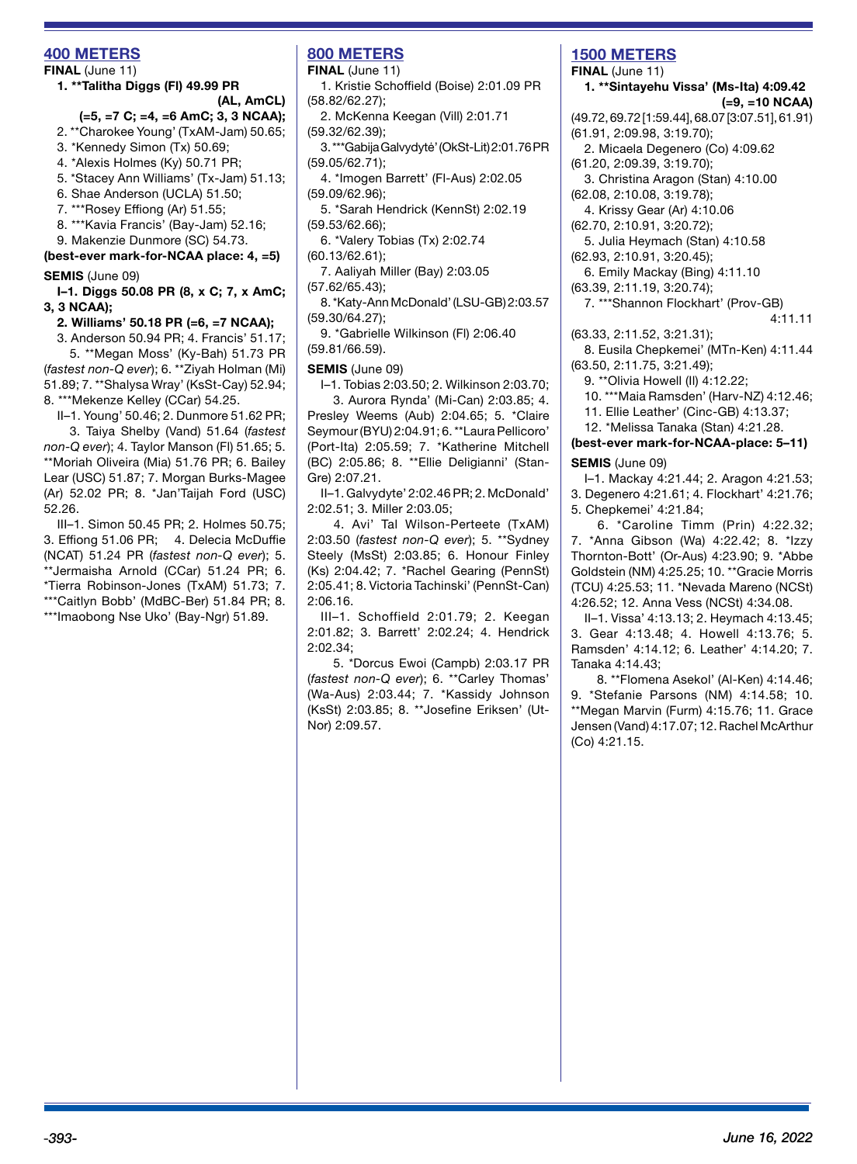## **400 METERS**

#### **FINAL** (June 11)

**1. \*\*Talitha Diggs (Fl) 49.99 PR (AL, AmCL)** 

# **(=5, =7 C; =4, =6 AmC; 3, 3 NCAA);**

- 2. \*\*Charokee Young' (TxAM-Jam) 50.65;
- 3. \*Kennedy Simon (Tx) 50.69;
- 4. \*Alexis Holmes (Ky) 50.71 PR;
- 5. \*Stacey Ann Williams' (Tx-Jam) 51.13;
- 6. Shae Anderson (UCLA) 51.50;
- 7. \*\*\*Rosey Effiong (Ar) 51.55;
- 8. \*\*\*Kavia Francis' (Bay-Jam) 52.16;
- 9. Makenzie Dunmore (SC) 54.73.

**(best-ever mark-for-NCAA place: 4, =5)**

#### **SEMIS** (June 09)

**I–1. Diggs 50.08 PR (8, x C; 7, x AmC; 3, 3 NCAA);** 

**2. Williams' 50.18 PR (=6, =7 NCAA);** 

3. Anderson 50.94 PR; 4. Francis' 51.17;

5. \*\*Megan Moss' (Ky-Bah) 51.73 PR (*fastest non-Q ever*); 6. \*\*Ziyah Holman (Mi) 51.89; 7. \*\*Shalysa Wray' (KsSt-Cay) 52.94; 8. \*\*\*Mekenze Kelley (CCar) 54.25.

II–1. Young' 50.46; 2. Dunmore 51.62 PR; 3. Taiya Shelby (Vand) 51.64 (*fastest* 

*non-Q ever*); 4. Taylor Manson (Fl) 51.65; 5. \*\*Moriah Oliveira (Mia) 51.76 PR; 6. Bailey Lear (USC) 51.87; 7. Morgan Burks-Magee (Ar) 52.02 PR; 8. \*Jan'Taijah Ford (USC) 52.26.

III–1. Simon 50.45 PR; 2. Holmes 50.75; 3. Effiong 51.06 PR; 4. Delecia McDuffie (NCAT) 51.24 PR (*fastest non-Q ever*); 5. \*\*Jermaisha Arnold (CCar) 51.24 PR; 6. \*Tierra Robinson-Jones (TxAM) 51.73; 7. \*\*\*Caitlyn Bobb' (MdBC-Ber) 51.84 PR; 8. \*\*\*Imaobong Nse Uko' (Bay-Ngr) 51.89.

# **800 METERS**

**FINAL** (June 11)

- 1. Kristie Schoffield (Boise) 2:01.09 PR (58.82/62.27);
- 2. McKenna Keegan (Vill) 2:01.71 (59.32/62.39);
- 3. \*\*\*Gabija Galvydytė' (OkSt-Lit) 2:01.76 PR (59.05/62.71);
- 4. \*Imogen Barrett' (Fl-Aus) 2:02.05 (59.09/62.96);

5. \*Sarah Hendrick (KennSt) 2:02.19 (59.53/62.66);

- 6. \*Valery Tobias (Tx) 2:02.74
- (60.13/62.61);

7. Aaliyah Miller (Bay) 2:03.05

- (57.62/65.43); 8. \*Katy-Ann McDonald' (LSU-GB) 2:03.57 (59.30/64.27);
- 9. \*Gabrielle Wilkinson (Fl) 2:06.40 (59.81/66.59).

#### **SEMIS** (June 09)

I–1. Tobias 2:03.50; 2. Wilkinson 2:03.70;

3. Aurora Rynda' (Mi-Can) 2:03.85; 4. Presley Weems (Aub) 2:04.65; 5. \*Claire Seymour (BYU) 2:04.91; 6. \*\*Laura Pellicoro' (Port-Ita) 2:05.59; 7. \*Katherine Mitchell (BC) 2:05.86; 8. \*\*Ellie Deligianni' (Stan-Gre) 2:07.21.

II–1. Galvydyte' 2:02.46 PR; 2. McDonald' 2:02.51; 3. Miller 2:03.05;

4. Avi' Tal Wilson-Perteete (TxAM) 2:03.50 (*fastest non-Q ever*); 5. \*\*Sydney Steely (MsSt) 2:03.85; 6. Honour Finley (Ks) 2:04.42; 7. \*Rachel Gearing (PennSt) 2:05.41; 8. Victoria Tachinski' (PennSt-Can) 2:06.16.

III–1. Schoffield 2:01.79; 2. Keegan 2:01.82; 3. Barrett' 2:02.24; 4. Hendrick 2:02.34;

5. \*Dorcus Ewoi (Campb) 2:03.17 PR (*fastest non-Q ever*); 6. \*\*Carley Thomas' (Wa-Aus) 2:03.44; 7. \*Kassidy Johnson (KsSt) 2:03.85; 8. \*\*Josefine Eriksen' (Ut-Nor) 2:09.57.

# **1500 METERS**

**FINAL** (June 11) **1. \*\*Sintayehu Vissa' (Ms-Ita) 4:09.42**

#### **(=9, =10 NCAA)**

- (49.72, 69.72 [1:59.44], 68.07 [3:07.51], 61.91) (61.91, 2:09.98, 3:19.70);
- 2. Micaela Degenero (Co) 4:09.62
- (61.20, 2:09.39, 3:19.70);

3. Christina Aragon (Stan) 4:10.00 (62.08, 2:10.08, 3:19.78);

4. Krissy Gear (Ar) 4:10.06

(62.70, 2:10.91, 3:20.72);

5. Julia Heymach (Stan) 4:10.58

- (62.93, 2:10.91, 3:20.45);
- 6. Emily Mackay (Bing) 4:11.10
- (63.39, 2:11.19, 3:20.74);

7. \*\*\*Shannon Flockhart' (Prov-GB)

4:11.11

(63.33, 2:11.52, 3:21.31); 8. Eusila Chepkemei' (MTn-Ken) 4:11.44 (63.50, 2:11.75, 3:21.49);

9. \*\*Olivia Howell (Il) 4:12.22;

10. \*\*\*Maia Ramsden' (Harv-NZ) 4:12.46;

11. Ellie Leather' (Cinc-GB) 4:13.37;

12. \*Melissa Tanaka (Stan) 4:21.28.

# **(best-ever mark-for-NCAA-place: 5–11)**

**SEMIS** (June 09)

I–1. Mackay 4:21.44; 2. Aragon 4:21.53; 3. Degenero 4:21.61; 4. Flockhart' 4:21.76; 5. Chepkemei' 4:21.84;

6. \*Caroline Timm (Prin) 4:22.32; 7. \*Anna Gibson (Wa) 4:22.42; 8. \*Izzy Thornton-Bott' (Or-Aus) 4:23.90; 9. \*Abbe Goldstein (NM) 4:25.25; 10. \*\*Gracie Morris (TCU) 4:25.53; 11. \*Nevada Mareno (NCSt) 4:26.52; 12. Anna Vess (NCSt) 4:34.08.

II–1. Vissa' 4:13.13; 2. Heymach 4:13.45; 3. Gear 4:13.48; 4. Howell 4:13.76; 5. Ramsden' 4:14.12; 6. Leather' 4:14.20; 7. Tanaka 4:14.43;

8. \*\*Flomena Asekol' (Al-Ken) 4:14.46; 9. \*Stefanie Parsons (NM) 4:14.58; 10. \*\*Megan Marvin (Furm) 4:15.76; 11. Grace Jensen (Vand) 4:17.07; 12. Rachel McArthur (Co) 4:21.15.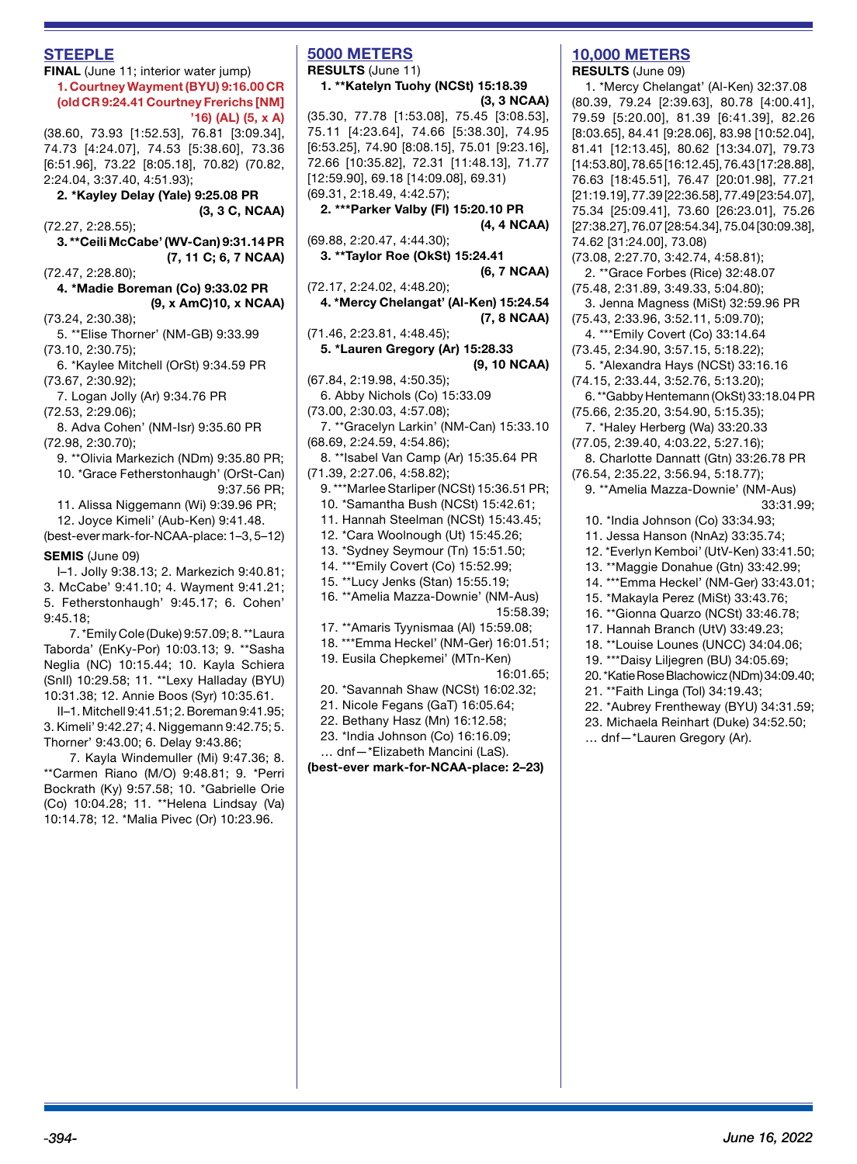#### **STEEPLE**

**FINAL** (June 11; interior water jump) **1. Courtney Wayment (BYU) 9:16.00 CR (old CR 9:24.41 Courtney Frerichs [NM] '16) (AL) (5, x A)** 

(38.60, 73.93 [1:52.53], 76.81 [3:09.34], 74.73 [4:24.07], 74.53 [5:38.60], 73.36 [6:51.96], 73.22 [8:05.18], 70.82) (70.82, 2:24.04, 3:37.40, 4:51.93);

**2. \*Kayley Delay (Yale) 9:25.08 PR (3, 3 C, NCAA)** 

(72.27, 2:28.55);

**3. \*\*Ceili McCabe' (WV-Can) 9:31.14 PR (7, 11 C; 6, 7 NCAA)** 

(72.47, 2:28.80);

**4. \*Madie Boreman (Co) 9:33.02 PR (9, x AmC)10, x NCAA)** 

(73.24, 2:30.38);

5. \*\*Elise Thorner' (NM-GB) 9:33.99 (73.10, 2:30.75);

6. \*Kaylee Mitchell (OrSt) 9:34.59 PR (73.67, 2:30.92);

7. Logan Jolly (Ar) 9:34.76 PR (72.53, 2:29.06);

8. Adva Cohen' (NM-Isr) 9:35.60 PR (72.98, 2:30.70);

9. \*\*Olivia Markezich (NDm) 9:35.80 PR; 10. \*Grace Fetherstonhaugh' (OrSt-Can)

9:37.56 PR;

11. Alissa Niggemann (Wi) 9:39.96 PR;

12. Joyce Kimeli' (Aub-Ken) 9:41.48. (best-ever mark-for-NCAA-place: 1–3, 5–12)

#### **SEMIS** (June 09)

I–1. Jolly 9:38.13; 2. Markezich 9:40.81; 3. McCabe' 9:41.10; 4. Wayment 9:41.21; 5. Fetherstonhaugh' 9:45.17; 6. Cohen' 9:45.18;

7. \*Emily Cole (Duke) 9:57.09; 8. \*\*Laura Taborda' (EnKy-Por) 10:03.13; 9. \*\*Sasha Neglia (NC) 10:15.44; 10. Kayla Schiera (SnIl) 10:29.58; 11. \*\*Lexy Halladay (BYU) 10:31.38; 12. Annie Boos (Syr) 10:35.61.

II–1. Mitchell 9:41.51; 2. Boreman 9:41.95; 3. Kimeli' 9:42.27; 4. Niggemann 9:42.75; 5. Thorner' 9:43.00; 6. Delay 9:43.86;

7. Kayla Windemuller (Mi) 9:47.36; 8. \*\*Carmen Riano (M/O) 9:48.81; 9. \*Perri Bockrath (Ky) 9:57.58; 10. \*Gabrielle Orie (Co) 10:04.28; 11. \*\*Helena Lindsay (Va) 10:14.78; 12. \*Malia Pivec (Or) 10:23.96.

#### **5000 METERS RESULTS** (June 11)

**1. \*\*Katelyn Tuohy (NCSt) 15:18.39 (3, 3 NCAA)**

(35.30, 77.78 [1:53.08], 75.45 [3:08.53], 75.11 [4:23.64], 74.66 [5:38.30], 74.95 [6:53.25], 74.90 [8:08.15], 75.01 [9:23.16], 72.66 [10:35.82], 72.31 [11:48.13], 71.77 [12:59.90], 69.18 [14:09.08], 69.31) (69.31, 2:18.49, 4:42.57);

**2. \*\*\*Parker Valby (Fl) 15:20.10 PR (4, 4 NCAA)**

(69.88, 2:20.47, 4:44.30); **3. \*\*Taylor Roe (OkSt) 15:24.41** 

**(6, 7 NCAA)**

(72.17, 2:24.02, 4:48.20); **4. \*Mercy Chelangat' (Al-Ken) 15:24.54 (7, 8 NCAA)**

(71.46, 2:23.81, 4:48.45);

**5. \*Lauren Gregory (Ar) 15:28.33 (9, 10 NCAA)**

(67.84, 2:19.98, 4:50.35);

6. Abby Nichols (Co) 15:33.09

(73.00, 2:30.03, 4:57.08);

7. \*\*Gracelyn Larkin' (NM-Can) 15:33.10 (68.69, 2:24.59, 4:54.86);

8. \*\*Isabel Van Camp (Ar) 15:35.64 PR (71.39, 2:27.06, 4:58.82);

9. \*\*\*Marlee Starliper (NCSt) 15:36.51 PR;

10. \*Samantha Bush (NCSt) 15:42.61;

11. Hannah Steelman (NCSt) 15:43.45;

12. \*Cara Woolnough (Ut) 15:45.26;

13. \*Sydney Seymour (Tn) 15:51.50;

14. \*\*\*Emily Covert (Co) 15:52.99;

15. \*\*Lucy Jenks (Stan) 15:55.19;

16. \*\*Amelia Mazza-Downie' (NM-Aus) 15:58.39;

17. \*\*Amaris Tyynismaa (Al) 15:59.08;

18. \*\*\*Emma Heckel' (NM-Ger) 16:01.51;

19. Eusila Chepkemei' (MTn-Ken) 16:01.65;

20. \*Savannah Shaw (NCSt) 16:02.32;

21. Nicole Fegans (GaT) 16:05.64;

22. Bethany Hasz (Mn) 16:12.58;

23. \*India Johnson (Co) 16:16.09;

… dnf—\*Elizabeth Mancini (LaS).

**(best-ever mark-for-NCAA-place: 2–23)**

# **10,000 METERS**

**RESULTS** (June 09)

1. \*Mercy Chelangat' (Al-Ken) 32:37.08 (80.39, 79.24 [2:39.63], 80.78 [4:00.41], 79.59 [5:20.00], 81.39 [6:41.39], 82.26 [8:03.65], 84.41 [9:28.06], 83.98 [10:52.04], 81.41 [12:13.45], 80.62 [13:34.07], 79.73 [14:53.80], 78.65 [16:12.45], 76.43 [17:28.88], 76.63 [18:45.51], 76.47 [20:01.98], 77.21 [21:19.19], 77.39 [22:36.58], 77.49 [23:54.07], 75.34 [25:09.41], 73.60 [26:23.01], 75.26 [27:38.27], 76.07 [28:54.34], 75.04 [30:09.38], 74.62 [31:24.00], 73.08)

(73.08, 2:27.70, 3:42.74, 4:58.81); 2. \*\*Grace Forbes (Rice) 32:48.07

(75.48, 2:31.89, 3:49.33, 5:04.80);

3. Jenna Magness (MiSt) 32:59.96 PR (75.43, 2:33.96, 3:52.11, 5:09.70);

4. \*\*\*Emily Covert (Co) 33:14.64

(73.45, 2:34.90, 3:57.15, 5:18.22);

5. \*Alexandra Hays (NCSt) 33:16.16

(74.15, 2:33.44, 3:52.76, 5:13.20);

6. \*\*Gabby Hentemann (OkSt) 33:18.04 PR (75.66, 2:35.20, 3:54.90, 5:15.35);

7. \*Haley Herberg (Wa) 33:20.33

(77.05, 2:39.40, 4:03.22, 5:27.16);

8. Charlotte Dannatt (Gtn) 33:26.78 PR (76.54, 2:35.22, 3:56.94, 5:18.77);

9. \*\*Amelia Mazza-Downie' (NM-Aus) 33:31.99;

10. \*India Johnson (Co) 33:34.93;

11. Jessa Hanson (NnAz) 33:35.74;

12. \*Everlyn Kemboi' (UtV-Ken) 33:41.50;

13. \*\*Maggie Donahue (Gtn) 33:42.99;

14. \*\*\*Emma Heckel' (NM-Ger) 33:43.01;

15. \*Makayla Perez (MiSt) 33:43.76;

16. \*\*Gionna Quarzo (NCSt) 33:46.78;

17. Hannah Branch (UtV) 33:49.23;

18. \*\*Louise Lounes (UNCC) 34:04.06;

19. \*\*\*Daisy Liljegren (BU) 34:05.69;

20. \*Katie Rose Blachowicz (NDm) 34:09.40;

21. \*\*Faith Linga (Tol) 34:19.43;

22. \*Aubrey Frentheway (BYU) 34:31.59;

23. Michaela Reinhart (Duke) 34:52.50;

… dnf—\*Lauren Gregory (Ar).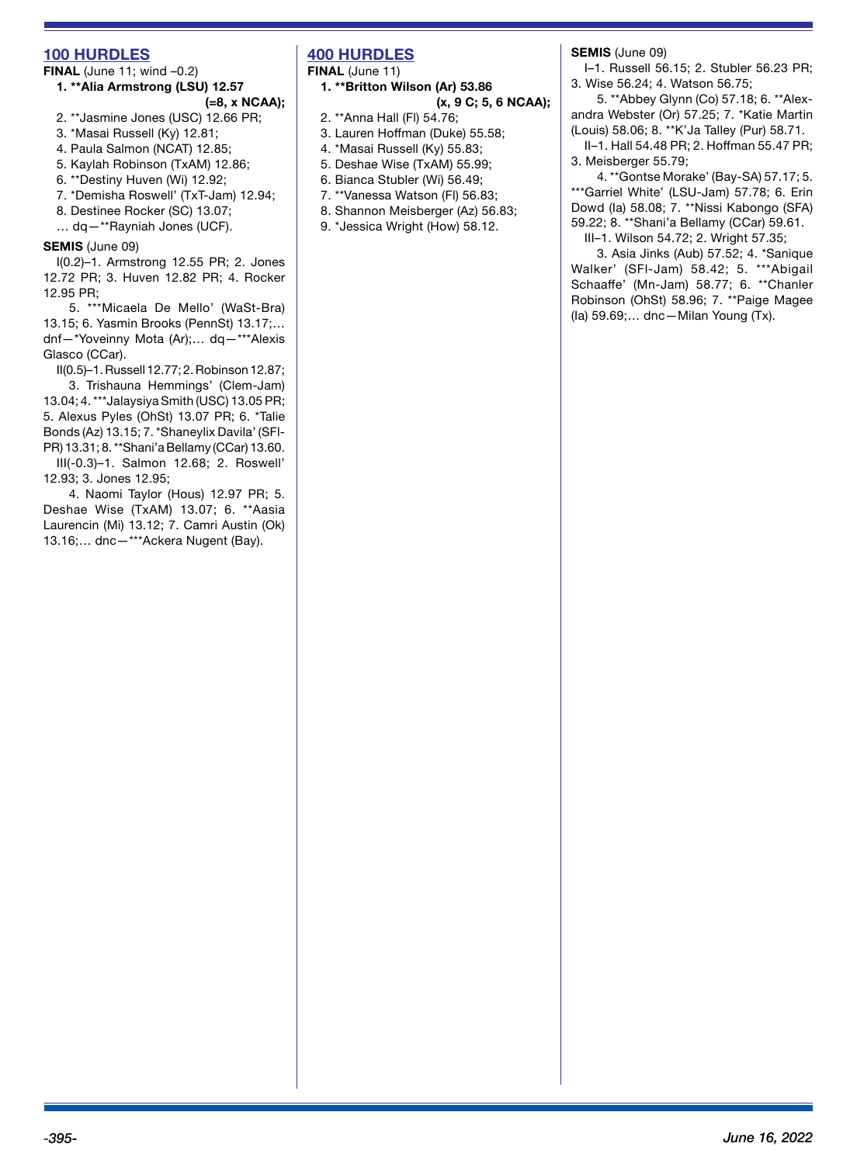#### **100 HURDLES**

# **FINAL** (June 11; wind -0.2) **1. \*\*Alia Armstrong (LSU) 12.57**

- **(=8, x NCAA);**
- 2. \*\*Jasmine Jones (USC) 12.66 PR;
- 3. \*Masai Russell (Ky) 12.81;
- 4. Paula Salmon (NCAT) 12.85;
- 5. Kaylah Robinson (TxAM) 12.86;
- 6. \*\*Destiny Huven (Wi) 12.92;
- 7. \*Demisha Roswell' (TxT-Jam) 12.94;
- 8. Destinee Rocker (SC) 13.07;
- … dq—\*\*Rayniah Jones (UCF).

#### **SEMIS** (June 09)

I(0.2)–1. Armstrong 12.55 PR; 2. Jones 12.72 PR; 3. Huven 12.82 PR; 4. Rocker 12.95 PR;

5. \*\*\*Micaela De Mello' (WaSt-Bra) 13.15; 6. Yasmin Brooks (PennSt) 13.17;… dnf—\*Yoveinny Mota (Ar);… dq—\*\*\*Alexis Glasco (CCar).

II(0.5)–1. Russell 12.77; 2. Robinson 12.87;

3. Trishauna Hemmings' (Clem-Jam) 13.04; 4. \*\*\*Jalaysiya Smith (USC) 13.05 PR; 5. Alexus Pyles (OhSt) 13.07 PR; 6. \*Talie Bonds (Az) 13.15; 7. \*Shaneylix Davila' (SFl-PR) 13.31; 8. \*\*Shani'a Bellamy (CCar) 13.60.

III(-0.3)–1. Salmon 12.68; 2. Roswell' 12.93; 3. Jones 12.95;

4. Naomi Taylor (Hous) 12.97 PR; 5. Deshae Wise (TxAM) 13.07; 6. \*\*Aasia Laurencin (Mi) 13.12; 7. Camri Austin (Ok) 13.16;… dnc—\*\*\*Ackera Nugent (Bay).

# **400 HURDLES**

**FINAL** (June 11)

- **1. \*\*Britton Wilson (Ar) 53.86 (x, 9 C; 5, 6 NCAA);**
- 2. \*\*Anna Hall (Fl) 54.76;
- 3. Lauren Hoffman (Duke) 55.58;
- 4. \*Masai Russell (Ky) 55.83;
- 5. Deshae Wise (TxAM) 55.99;
- 6. Bianca Stubler (Wi) 56.49;
- 7. \*\*Vanessa Watson (Fl) 56.83;
- 8. Shannon Meisberger (Az) 56.83;
- 9. \*Jessica Wright (How) 58.12.

**SEMIS** (June 09)

I–1. Russell 56.15; 2. Stubler 56.23 PR; 3. Wise 56.24; 4. Watson 56.75;

5. \*\*Abbey Glynn (Co) 57.18; 6. \*\*Alexandra Webster (Or) 57.25; 7. \*Katie Martin (Louis) 58.06; 8. \*\*K'Ja Talley (Pur) 58.71.

II–1. Hall 54.48 PR; 2. Hoffman 55.47 PR; 3. Meisberger 55.79;

4. \*\*Gontse Morake' (Bay-SA) 57.17; 5. \*\*\*Garriel White' (LSU-Jam) 57.78; 6. Erin Dowd (Ia) 58.08; 7. \*\*Nissi Kabongo (SFA) 59.22; 8. \*\*Shani'a Bellamy (CCar) 59.61. III–1. Wilson 54.72; 2. Wright 57.35;

3. Asia Jinks (Aub) 57.52; 4. \*Sanique Walker' (SFl-Jam) 58.42; 5. \*\*\*Abigail Schaaffe' (Mn-Jam) 58.77; 6. \*\*Chanler Robinson (OhSt) 58.96; 7. \*\*Paige Magee (Ia) 59.69;… dnc—Milan Young (Tx).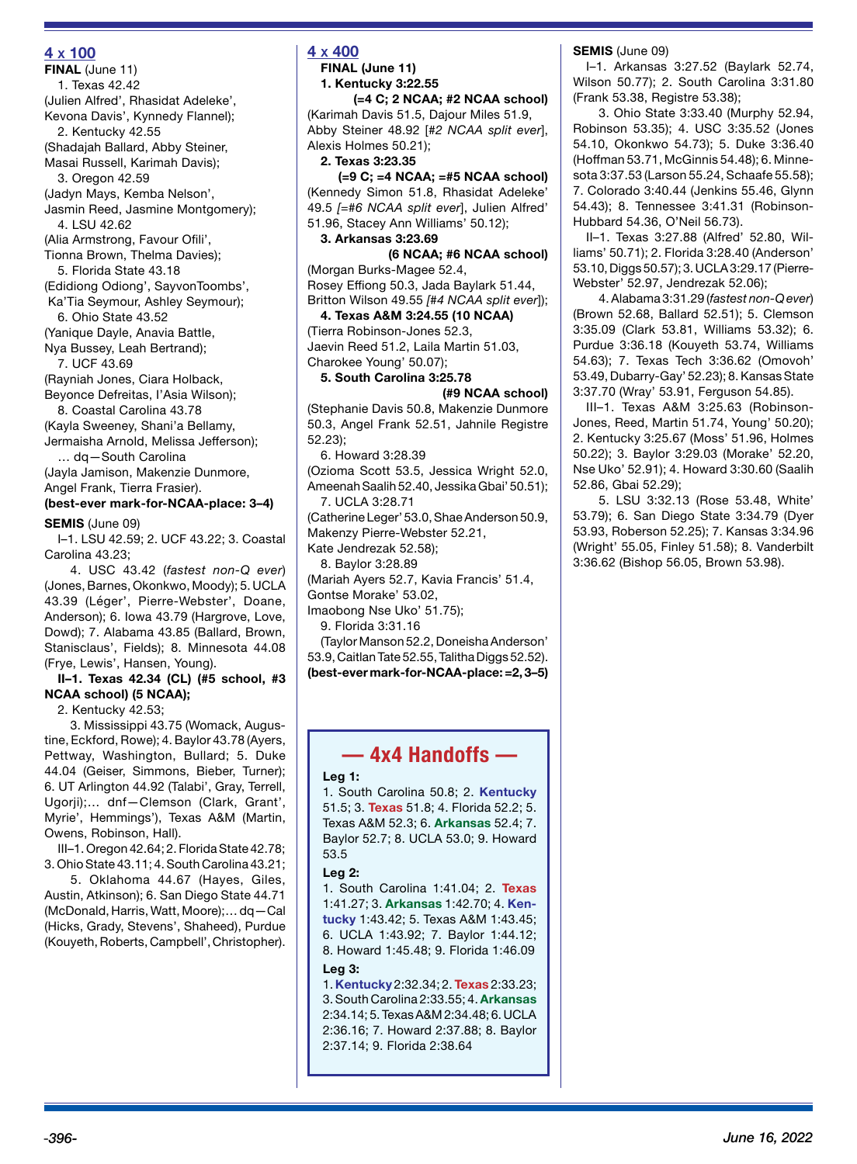#### **4 x 100**

**FINAL** (June 11) 1. Texas 42.42 (Julien Alfred', Rhasidat Adeleke', Kevona Davis', Kynnedy Flannel); 2. Kentucky 42.55 (Shadajah Ballard, Abby Steiner, Masai Russell, Karimah Davis); 3. Oregon 42.59 (Jadyn Mays, Kemba Nelson', Jasmin Reed, Jasmine Montgomery); 4. LSU 42.62 (Alia Armstrong, Favour Ofili', Tionna Brown, Thelma Davies); 5. Florida State 43.18 (Edidiong Odiong', SayvonToombs', Ka'Tia Seymour, Ashley Seymour); 6. Ohio State 43.52 (Yanique Dayle, Anavia Battle, Nya Bussey, Leah Bertrand); 7. UCF 43.69 (Rayniah Jones, Ciara Holback, Beyonce Defreitas, I'Asia Wilson); 8. Coastal Carolina 43.78 (Kayla Sweeney, Shani'a Bellamy, Jermaisha Arnold, Melissa Jefferson); … dq—South Carolina (Jayla Jamison, Makenzie Dunmore, Angel Frank, Tierra Frasier). **(best-ever mark-for-NCAA-place: 3–4) SEMIS** (June 09)

I–1. LSU 42.59; 2. UCF 43.22; 3. Coastal Carolina 43.23;

4. USC 43.42 (*fastest non-Q ever*) (Jones, Barnes, Okonkwo, Moody); 5. UCLA 43.39 (Léger', Pierre-Webster', Doane, Anderson); 6. Iowa 43.79 (Hargrove, Love, Dowd); 7. Alabama 43.85 (Ballard, Brown, Stanisclaus', Fields); 8. Minnesota 44.08 (Frye, Lewis', Hansen, Young).

#### **II–1. Texas 42.34 (CL) (#5 school, #3 NCAA school) (5 NCAA);**

2. Kentucky 42.53;

3. Mississippi 43.75 (Womack, Augustine, Eckford, Rowe); 4. Baylor 43.78 (Ayers, Pettway, Washington, Bullard; 5. Duke 44.04 (Geiser, Simmons, Bieber, Turner); 6. UT Arlington 44.92 (Talabi', Gray, Terrell, Ugorji);… dnf—Clemson (Clark, Grant', Myrie', Hemmings'), Texas A&M (Martin, Owens, Robinson, Hall).

III–1. Oregon 42.64; 2. Florida State 42.78; 3. Ohio State 43.11; 4. South Carolina 43.21;

5. Oklahoma 44.67 (Hayes, Giles, Austin, Atkinson); 6. San Diego State 44.71 (McDonald, Harris, Watt, Moore);… dq—Cal (Hicks, Grady, Stevens', Shaheed), Purdue (Kouyeth, Roberts, Campbell', Christopher).

# **4 x 400**

**FINAL (June 11) 1. Kentucky 3:22.55** 

**(=4 C; 2 NCAA; #2 NCAA school)**

(Karimah Davis 51.5, Dajour Miles 51.9, Abby Steiner 48.92 [*#2 NCAA split ever*], Alexis Holmes 50.21); **2. Texas 3:23.35** 

**(=9 C; =4 NCAA; =#5 NCAA school)** (Kennedy Simon 51.8, Rhasidat Adeleke' 49.5 *[=#6 NCAA split ever*], Julien Alfred' 51.96, Stacey Ann Williams' 50.12);

**3. Arkansas 3:23.69** 

**(6 NCAA; #6 NCAA school)** (Morgan Burks-Magee 52.4, Rosey Effiong 50.3, Jada Baylark 51.44, Britton Wilson 49.55 *[#4 NCAA split ever*]);

**4. Texas A&M 3:24.55 (10 NCAA)** (Tierra Robinson-Jones 52.3, Jaevin Reed 51.2, Laila Martin 51.03,

Charokee Young' 50.07); **5. South Carolina 3:25.78** 

## **(#9 NCAA school)**

(Stephanie Davis 50.8, Makenzie Dunmore 50.3, Angel Frank 52.51, Jahnile Registre 52.23);

6. Howard 3:28.39

(Ozioma Scott 53.5, Jessica Wright 52.0, Ameenah Saalih 52.40, Jessika Gbai' 50.51); 7. UCLA 3:28.71

(Catherine Leger' 53.0, Shae Anderson 50.9, Makenzy Pierre-Webster 52.21,

Kate Jendrezak 52.58);

8. Baylor 3:28.89

(Mariah Ayers 52.7, Kavia Francis' 51.4, Gontse Morake' 53.02,

Imaobong Nse Uko' 51.75);

9. Florida 3:31.16

(Taylor Manson 52.2, Doneisha Anderson' 53.9, Caitlan Tate 52.55, Talitha Diggs 52.52). **(best-ever mark-for-NCAA-place: =2, 3–5)**

# **— 4x4 Handoffs —**

#### **Leg 1:**

1. South Carolina 50.8; 2. **Kentucky** 51.5; 3. **Texas** 51.8; 4. Florida 52.2; 5. Texas A&M 52.3; 6. **Arkansas** 52.4; 7. Baylor 52.7; 8. UCLA 53.0; 9. Howard 53.5

#### **Leg 2:**

1. South Carolina 1:41.04; 2. **Texas** 1:41.27; 3. **Arkansas** 1:42.70; 4. **Kentucky** 1:43.42; 5. Texas A&M 1:43.45; 6. UCLA 1:43.92; 7. Baylor 1:44.12; 8. Howard 1:45.48; 9. Florida 1:46.09 **Leg 3:**

1. **Kentucky** 2:32.34; 2. **Texas** 2:33.23; 3. South Carolina 2:33.55; 4. **Arkansas** 2:34.14; 5. Texas A&M 2:34.48; 6. UCLA 2:36.16; 7. Howard 2:37.88; 8. Baylor 2:37.14; 9. Florida 2:38.64

**SEMIS** (June 09)

I–1. Arkansas 3:27.52 (Baylark 52.74, Wilson 50.77); 2. South Carolina 3:31.80 (Frank 53.38, Registre 53.38);

3. Ohio State 3:33.40 (Murphy 52.94, Robinson 53.35); 4. USC 3:35.52 (Jones 54.10, Okonkwo 54.73); 5. Duke 3:36.40 (Hoffman 53.71, McGinnis 54.48); 6. Minnesota 3:37.53 (Larson 55.24, Schaafe 55.58); 7. Colorado 3:40.44 (Jenkins 55.46, Glynn 54.43); 8. Tennessee 3:41.31 (Robinson-Hubbard 54.36, O'Neil 56.73).

II–1. Texas 3:27.88 (Alfred' 52.80, Williams' 50.71); 2. Florida 3:28.40 (Anderson' 53.10, Diggs 50.57); 3. UCLA 3:29.17 (Pierre-Webster' 52.97, Jendrezak 52.06);

4. Alabama 3:31.29 (*fastest non-Q ever*) (Brown 52.68, Ballard 52.51); 5. Clemson 3:35.09 (Clark 53.81, Williams 53.32); 6. Purdue 3:36.18 (Kouyeth 53.74, Williams 54.63); 7. Texas Tech 3:36.62 (Omovoh' 53.49, Dubarry-Gay' 52.23); 8. Kansas State 3:37.70 (Wray' 53.91, Ferguson 54.85).

III–1. Texas A&M 3:25.63 (Robinson-Jones, Reed, Martin 51.74, Young' 50.20); 2. Kentucky 3:25.67 (Moss' 51.96, Holmes 50.22); 3. Baylor 3:29.03 (Morake' 52.20, Nse Uko' 52.91); 4. Howard 3:30.60 (Saalih 52.86, Gbai 52.29);

5. LSU 3:32.13 (Rose 53.48, White' 53.79); 6. San Diego State 3:34.79 (Dyer 53.93, Roberson 52.25); 7. Kansas 3:34.96 (Wright' 55.05, Finley 51.58); 8. Vanderbilt 3:36.62 (Bishop 56.05, Brown 53.98).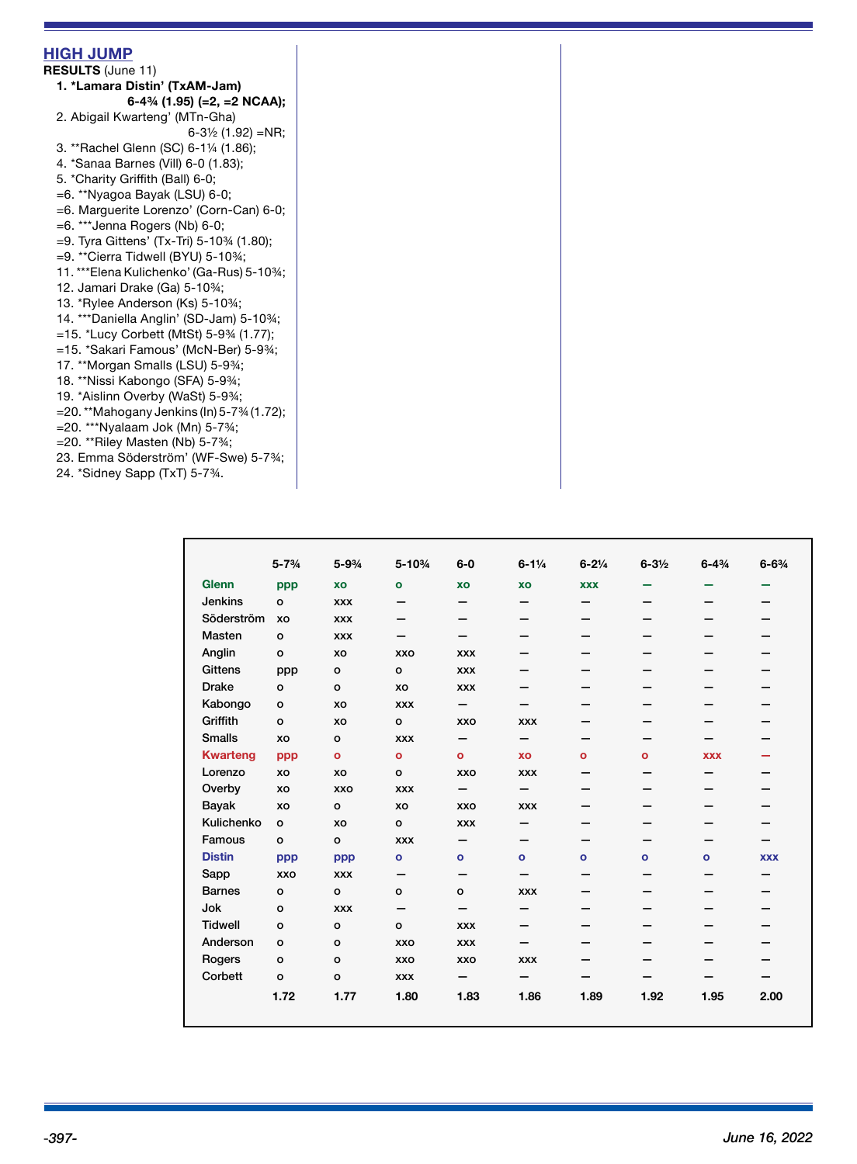| <b>HIGH JUMP</b>                                                       |  |
|------------------------------------------------------------------------|--|
| <b>RESULTS (June 11)</b>                                               |  |
| 1. *Lamara Distin' (TxAM-Jam)                                          |  |
| 6-4% (1.95) (=2, =2 NCAA);                                             |  |
| 2. Abigail Kwarteng' (MTn-Gha)                                         |  |
| $6-3\frac{1}{2}$ (1.92) = NR;                                          |  |
| 3. **Rachel Glenn (SC) 6-11/4 (1.86);                                  |  |
| 4. *Sanaa Barnes (Vill) 6-0 (1.83);                                    |  |
| 5. *Charity Griffith (Ball) 6-0;                                       |  |
| $=6.$ **Nyagoa Bayak (LSU) 6-0;                                        |  |
| =6. Marguerite Lorenzo' (Corn-Can) 6-0;                                |  |
| $=6.$ *** Jenna Rogers (Nb) 6-0;                                       |  |
| $=$ 9. Tyra Gittens' (Tx-Tri) 5-10 <sup>3</sup> / <sub>4</sub> (1.80); |  |
| $=$ 9. **Cierra Tidwell (BYU) 5-10¾;                                   |  |
| 11. ***Elena Kulichenko' (Ga-Rus) 5-10%;                               |  |
| 12. Jamari Drake (Ga) 5-10%;                                           |  |
| 13. *Rylee Anderson (Ks) 5-10%;                                        |  |
| 14. ***Daniella Anglin' (SD-Jam) 5-10%;                                |  |
| =15. *Lucy Corbett (MtSt) 5-94 (1.77);                                 |  |
| =15. *Sakari Famous' (McN-Ber) 5-934;                                  |  |
| 17. **Morgan Smalls (LSU) 5-9%;                                        |  |
| 18. **Nissi Kabongo (SFA) 5-9%;                                        |  |
| 19. *Aislinn Overby (WaSt) 5-9%;                                       |  |
| =20.**Mahogany Jenkins (In) 5-73/4 (1.72);                             |  |
| $=$ 20. *** Nyalaam Jok (Mn) 5-7 $\frac{3}{4}$ ;                       |  |
| $=$ 20. ** Riley Masten (Nb) 5-7 $\frac{3}{4}$ ;                       |  |
| 23. Emma Söderström' (WF-Swe) 5-7%;                                    |  |
| 24. *Sidney Sapp (TxT) 5-734.                                          |  |
|                                                                        |  |

|                 | $5 - 7\frac{3}{4}$ | $5 - 9\frac{3}{4}$ | $5 - 10%$      | $6-0$                    | $6 - 1\frac{1}{4}$ | $6 - 2\frac{1}{4}$ | $6 - 3\frac{1}{2}$ | $6 - 4\frac{3}{4}$ | $6 - 6\frac{3}{4}$ |
|-----------------|--------------------|--------------------|----------------|--------------------------|--------------------|--------------------|--------------------|--------------------|--------------------|
| <b>Glenn</b>    | ppp                | XO                 | $\mathbf{o}$   | XO                       | XO                 | <b>XXX</b>         |                    |                    |                    |
| <b>Jenkins</b>  | $\circ$            | <b>XXX</b>         | -              | -                        | —                  | $\qquad \qquad$    |                    |                    |                    |
| Söderström      | XO                 | <b>XXX</b>         | –              |                          | -                  | -                  |                    |                    |                    |
| Masten          | $\mathbf{o}$       | <b>XXX</b>         | —              |                          |                    | —                  |                    |                    |                    |
| Anglin          | $\circ$            | XO                 | <b>XXO</b>     | <b>XXX</b>               |                    | —                  |                    |                    |                    |
| <b>Gittens</b>  | ppp                | $\circ$            | $\circ$        | <b>XXX</b>               | –                  |                    |                    |                    |                    |
| <b>Drake</b>    | $\mathbf{o}$       | $\circ$            | XO             | <b>XXX</b>               |                    |                    |                    |                    |                    |
| Kabongo         | $\circ$            | XO                 | <b>XXX</b>     | $\overline{\phantom{0}}$ | —                  | —                  |                    |                    |                    |
| Griffith        | $\circ$            | XO                 | $\mathbf{o}$   | XXO                      | <b>XXX</b>         | —                  |                    |                    |                    |
| <b>Smalls</b>   | XO                 | $\circ$            | <b>XXX</b>     | —                        | —                  | -                  |                    |                    |                    |
| <b>Kwarteng</b> | ppp                | $\mathbf{o}$       | $\mathbf{o}$   | $\mathbf{o}$             | XO                 | $\bullet$          | $\mathbf{o}$       | <b>XXX</b>         |                    |
| Lorenzo         | XO                 | XO                 | $\mathbf{o}$   | XXO                      | <b>XXX</b>         | —                  |                    |                    |                    |
| Overby          | XO                 | XXO                | <b>XXX</b>     | -                        | —                  | —                  |                    |                    |                    |
| Bayak           | XO                 | $\circ$            | XO             | <b>XXO</b>               | <b>XXX</b>         | -                  | –                  |                    |                    |
| Kulichenko      | $\circ$            | XO                 | $\mathsf{o}$   | <b>XXX</b>               | —                  |                    |                    |                    |                    |
| Famous          | $\mathbf{o}$       | $\circ$            | <b>XXX</b>     | —                        | -                  | —                  |                    |                    |                    |
| <b>Distin</b>   | ppp                | ppp                | $\mathbf{o}$   | $\mathbf{o}$             | $\mathbf{o}$       | $\bullet$          | $\bullet$          | o                  | <b>XXX</b>         |
| Sapp            | XXO                | <b>XXX</b>         | —              | -                        | —                  | —                  |                    |                    |                    |
| <b>Barnes</b>   | $\mathbf{o}$       | $\circ$            | o              | $\mathsf{o}\,$           | <b>XXX</b>         | —                  |                    |                    |                    |
| Jok             | $\circ$            | <b>XXX</b>         | —              | —                        | -                  |                    |                    |                    |                    |
| <b>Tidwell</b>  | $\circ$            | $\circ$            | $\mathsf{o}\,$ | <b>XXX</b>               | -                  |                    |                    |                    |                    |
| Anderson        | $\mathbf{o}$       | $\circ$            | XXO            | <b>XXX</b>               | —                  | —                  |                    |                    |                    |
| Rogers          | $\circ$            | $\circ$            | XXO            | XXO                      | <b>XXX</b>         | -                  |                    |                    |                    |
| Corbett         | $\mathbf{o}$       | $\mathbf{o}$       | <b>XXX</b>     | —                        | -                  |                    |                    |                    |                    |
|                 | 1.72               | 1.77               | 1.80           | 1.83                     | 1.86               | 1.89               | 1.92               | 1.95               | 2.00               |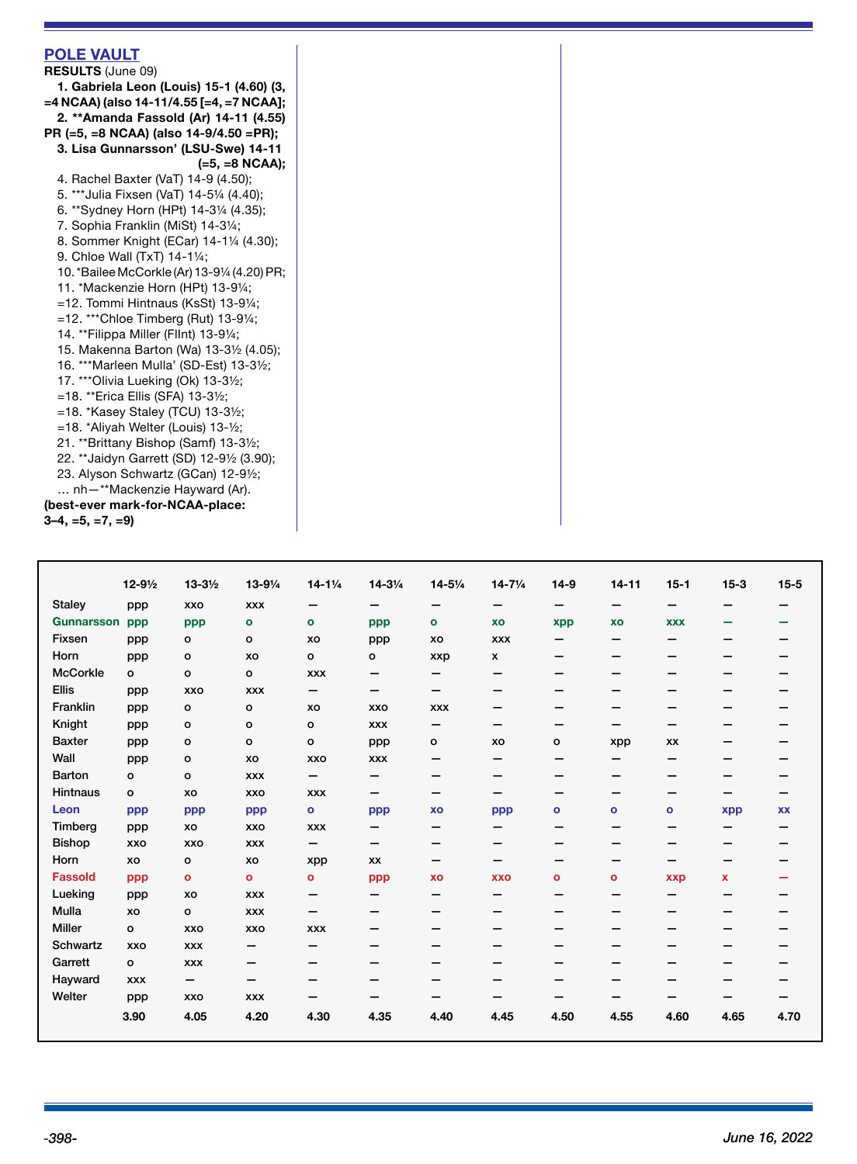| <b>POLE VAULT</b><br><b>RESULTS (June 09)</b><br>1. Gabriela Leon (Louis) 15-1 (4.60) (3,<br>=4 NCAA) (also 14-11/4.55 [=4, =7 NCAA];<br>2. **Amanda Fassold (Ar) 14-11 (4.55)<br>PR (=5, =8 NCAA) (also 14-9/4.50 =PR);<br>3. Lisa Gunnarsson' (LSU-Swe) 14-11<br>$(=5, =8 NCAA);$ |  |
|-------------------------------------------------------------------------------------------------------------------------------------------------------------------------------------------------------------------------------------------------------------------------------------|--|
| 4. Rachel Baxter (VaT) 14-9 (4.50);                                                                                                                                                                                                                                                 |  |
| 5. *** Julia Fixsen (VaT) 14-51/4 (4.40);                                                                                                                                                                                                                                           |  |
| 6. **Sydney Horn (HPt) 14-31/4 (4.35);                                                                                                                                                                                                                                              |  |
| 7. Sophia Franklin (MiSt) 14-31/4;                                                                                                                                                                                                                                                  |  |
| 8. Sommer Knight (ECar) 14-11/4 (4.30);                                                                                                                                                                                                                                             |  |
| 9. Chloe Wall (TxT) 14-11/4;                                                                                                                                                                                                                                                        |  |
| 10. *Bailee McCorkle (Ar) 13-91/4 (4.20) PR;                                                                                                                                                                                                                                        |  |
| 11. *Mackenzie Horn (HPt) 13-91/4;                                                                                                                                                                                                                                                  |  |
| $=$ 12. Tommi Hintnaus (KsSt) 13-9¼;                                                                                                                                                                                                                                                |  |
| $=12.$ ***Chloe Timberg (Rut) 13-91/4;                                                                                                                                                                                                                                              |  |
| 14. **Filippa Miller (Fllnt) 13-91/4;                                                                                                                                                                                                                                               |  |
| 15. Makenna Barton (Wa) 13-31/2 (4.05);                                                                                                                                                                                                                                             |  |
| 16. *** Marleen Mulla' (SD-Est) 13-31/2;                                                                                                                                                                                                                                            |  |
| 17. *** Olivia Lueking (Ok) 13-31/2;                                                                                                                                                                                                                                                |  |
| =18. **Erica Ellis (SFA) 13-3½;                                                                                                                                                                                                                                                     |  |
| $=$ 18. *Kasey Staley (TCU) 13-3½;                                                                                                                                                                                                                                                  |  |
| =18. *Aliyah Welter (Louis) 13-1/2;                                                                                                                                                                                                                                                 |  |
| 21. ** Brittany Bishop (Samf) 13-31/2;                                                                                                                                                                                                                                              |  |
| 22. ** Jaidyn Garrett (SD) 12-91/2 (3.90);                                                                                                                                                                                                                                          |  |
| 23. Alyson Schwartz (GCan) 12-91/2;<br>nh-**Mackenzie Hayward (Ar).                                                                                                                                                                                                                 |  |
| (best-ever mark-for-NCAA-place:                                                                                                                                                                                                                                                     |  |
| $3-4, =5, =7, =9$                                                                                                                                                                                                                                                                   |  |

|                   | $12 - 9\frac{1}{2}$ | $13 - 3\frac{1}{2}$ | 13-91/4      | $14 - 1\frac{1}{4}$ | $14 - 3\frac{1}{4}$ | $14 - 5\frac{1}{4}$ | $14 - 7\frac{1}{4}$      | $14-9$                   | $14 - 11$    | $15 - 1$                 | $15 - 3$ | $15 - 5$  |
|-------------------|---------------------|---------------------|--------------|---------------------|---------------------|---------------------|--------------------------|--------------------------|--------------|--------------------------|----------|-----------|
| <b>Staley</b>     | ppp                 | <b>XXO</b>          | <b>XXX</b>   | —                   |                     |                     | -                        | $\overline{\phantom{0}}$ | -            |                          | –        |           |
| <b>Gunnarsson</b> | ppp                 | ppp                 | $\bullet$    | O                   | ppp                 | $\bullet$           | XO                       | xpp                      | XO           | <b>XXX</b>               | -        |           |
| Fixsen            | ppp                 | o                   | o            | XO                  | ppp                 | XO                  | <b>XXX</b>               |                          | -            |                          |          |           |
| Horn              | ppp                 | o                   | XO           | o                   | o                   | xxp                 | X                        | –                        | -            |                          |          |           |
| <b>McCorkle</b>   | o                   | o                   | o            | <b>XXX</b>          | —                   | —                   | -                        | -                        | -            | -                        | -        |           |
| <b>Ellis</b>      | ppp                 | XXO                 | <b>XXX</b>   | -                   | —                   | —                   | -                        |                          |              |                          |          |           |
| Franklin          | ppp                 | o                   | o            | XO                  | XXO                 | <b>XXX</b>          |                          |                          |              |                          |          |           |
| Knight            | ppp                 | o                   | o            | $\mathbf{o}$        | <b>XXX</b>          | -                   | -                        | -                        | –            |                          |          |           |
| <b>Baxter</b>     | ppp                 | o                   | o            | $\mathbf{o}$        | ppp                 | o                   | XO                       | o                        | xpp          | XX                       |          |           |
| Wall              | ppp                 | o                   | XO           | XXO                 | <b>XXX</b>          | -                   | $\overline{\phantom{m}}$ | -                        | -            | -                        |          |           |
| Barton            | О                   | $\circ$             | <b>XXX</b>   | -                   | -                   | -                   | -                        |                          |              |                          |          |           |
| <b>Hintnaus</b>   | $\mathbf{o}$        | XO                  | <b>XXO</b>   | <b>XXX</b>          | —                   | -                   |                          |                          | -            |                          |          |           |
| Leon              | ppp                 | ppp                 | ppp          | $\bullet$           | ppp                 | XO                  | ppp                      | $\bullet$                | $\mathbf{o}$ | $\mathbf{o}$             | xpp      | <b>XX</b> |
| Timberg           | ppp                 | XO                  | <b>XXO</b>   | <b>XXX</b>          | —                   | —                   | —                        | -                        | -            | -                        | -        |           |
| <b>Bishop</b>     | <b>XXO</b>          | <b>XXO</b>          | <b>XXX</b>   | -                   | -                   | -                   | -                        | -                        | -            | -                        | -        |           |
| Horn              | XO                  | $\mathbf{o}$        | XO           | xpp                 | XX                  | -                   | -                        |                          | -            |                          | –        |           |
| <b>Fassold</b>    | ppp                 | $\mathbf{o}$        | $\mathbf{o}$ | o                   | ppp                 | XO                  | <b>XXO</b>               | $\bullet$                | $\bullet$    | <b>xxp</b>               | x        |           |
| Lueking           | ppp                 | XO                  | <b>XXX</b>   | -                   | -                   | -                   | $\overline{\phantom{m}}$ | —                        | -            | $\overline{\phantom{0}}$ | -        |           |
| Mulla             | XO                  | $\circ$             | <b>XXX</b>   | —                   |                     |                     |                          |                          |              |                          |          |           |
| <b>Miller</b>     | o                   | <b>XXO</b>          | <b>XXO</b>   | <b>XXX</b>          |                     | -                   | -                        |                          | -            |                          | -        |           |
| <b>Schwartz</b>   | <b>XXO</b>          | <b>XXX</b>          | -            | —                   | -                   | -                   | —                        | —                        | -            | -                        | -        |           |
| Garrett           | o                   | <b>XXX</b>          | -            | -                   | -                   |                     | —                        |                          | -            |                          |          |           |
| Hayward           | <b>XXX</b>          | -                   | -            | -                   | –                   | –                   | -                        | -                        | –            |                          | -        |           |
| Welter            | ppp                 | XXO                 | <b>XXX</b>   | –                   |                     | –                   | -                        | —                        |              |                          |          |           |
|                   | 3.90                | 4.05                | 4.20         | 4.30                | 4.35                | 4.40                | 4.45                     | 4.50                     | 4.55         | 4.60                     | 4.65     | 4.70      |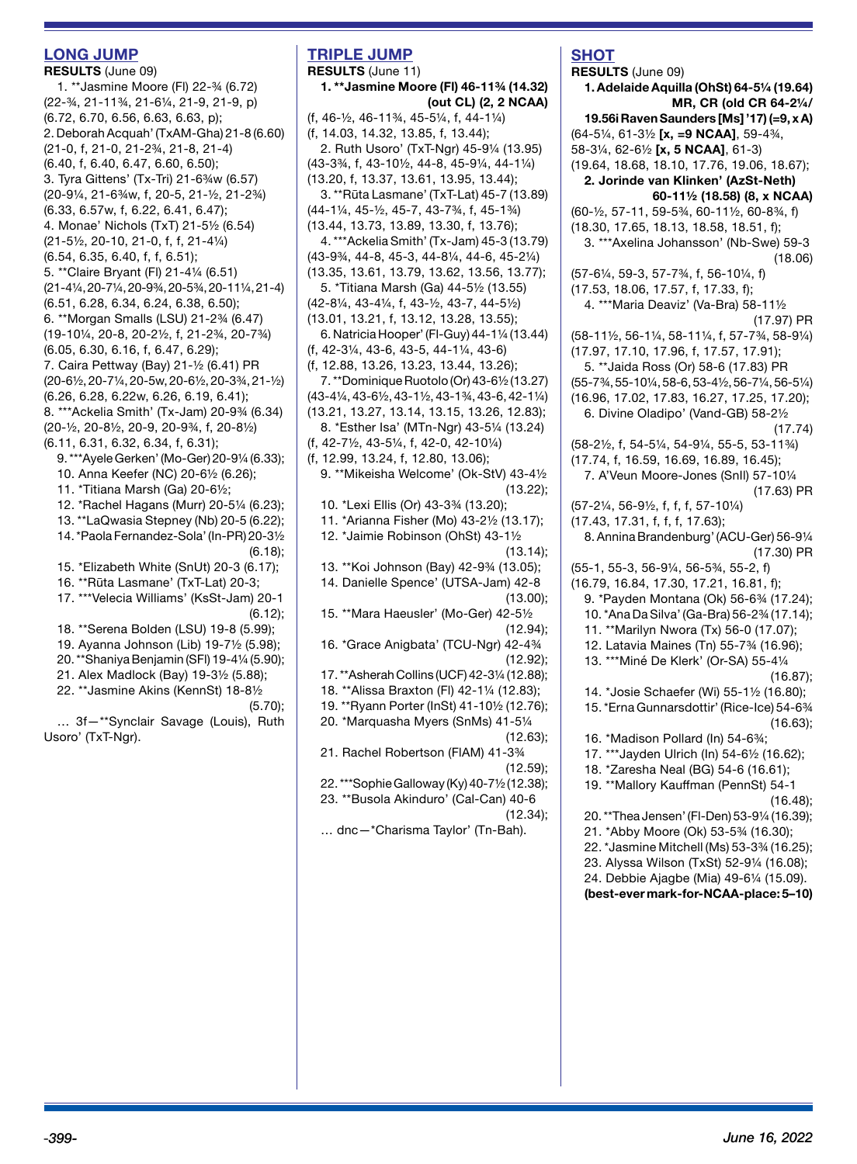## **LONG JUMP**

**RESULTS** (June 09) 1. \*\*Jasmine Moore (Fl) 22-¾ (6.72) (22-¾, 21-11¾, 21-6¼, 21-9, 21-9, p) (6.72, 6.70, 6.56, 6.63, 6.63, p); 2. Deborah Acquah' (TxAM-Gha) 21-8 (6.60) (21-0, f, 21-0, 21-2¾, 21-8, 21-4) (6.40, f, 6.40, 6.47, 6.60, 6.50); 3. Tyra Gittens' (Tx-Tri) 21-6¾w (6.57) (20-9¼, 21-6¾w, f, 20-5, 21-½, 21-2¾) (6.33, 6.57w, f, 6.22, 6.41, 6.47); 4. Monae' Nichols (TxT) 21-5½ (6.54) (21-5½, 20-10, 21-0, f, f, 21-4¼) (6.54, 6.35, 6.40, f, f, 6.51); 5. \*\*Claire Bryant (Fl) 21-4¼ (6.51) (21-4¼, 20-7¼, 20-9¾, 20-5¾, 20-11¼, 21-4) (6.51, 6.28, 6.34, 6.24, 6.38, 6.50); 6. \*\*Morgan Smalls (LSU) 21-2¾ (6.47) (19-10¼, 20-8, 20-2½, f, 21-2¾, 20-7¾) (6.05, 6.30, 6.16, f, 6.47, 6.29); 7. Caira Pettway (Bay) 21-½ (6.41) PR (20-6½, 20-7¼, 20-5w, 20-6½, 20-3¾, 21-½) (6.26, 6.28, 6.22w, 6.26, 6.19, 6.41); 8. \*\*\*Ackelia Smith' (Tx-Jam) 20-9¾ (6.34) (20-½, 20-8½, 20-9, 20-9¾, f, 20-8½) (6.11, 6.31, 6.32, 6.34, f, 6.31); 9. \*\*\*Ayele Gerken' (Mo-Ger) 20-9¼ (6.33); 10. Anna Keefer (NC) 20-6½ (6.26); 11. \*Titiana Marsh (Ga) 20-6½; 12. \*Rachel Hagans (Murr) 20-5¼ (6.23); 13. \*\*LaQwasia Stepney (Nb) 20-5 (6.22); 14. \*Paola Fernandez-Sola' (In-PR) 20-3½ (6.18); 15. \*Elizabeth White (SnUt) 20-3 (6.17); 16. \*\*Rūta Lasmane' (TxT-Lat) 20-3; 17. \*\*\*Velecia Williams' (KsSt-Jam) 20-1 (6.12); 18. \*\*Serena Bolden (LSU) 19-8 (5.99); 19. Ayanna Johnson (Lib) 19-7½ (5.98); 20. \*\*Shaniya Benjamin (SFl) 19-4¼ (5.90); 21. Alex Madlock (Bay) 19-3½ (5.88); 22. \*\*Jasmine Akins (KennSt) 18-8½

(5.70);

… 3f—\*\*Synclair Savage (Louis), Ruth Usoro' (TxT-Nar).

## **TRIPLE JUMP**

**RESULTS** (June 11) **1. \*\*Jasmine Moore (Fl) 46-11¾ (14.32) (out CL) (2, 2 NCAA)** (f, 46-½, 46-11¾, 45-5¼, f, 44-1¼) (f, 14.03, 14.32, 13.85, f, 13.44); 2. Ruth Usoro' (TxT-Ngr) 45-9¼ (13.95) (43-3¾, f, 43-10½, 44-8, 45-9¼, 44-1¼) (13.20, f, 13.37, 13.61, 13.95, 13.44); 3. \*\*Rūta Lasmane' (TxT-Lat) 45-7 (13.89) (44-1¼, 45-½, 45-7, 43-7¾, f, 45-1¾) (13.44, 13.73, 13.89, 13.30, f, 13.76); 4. \*\*\*Ackelia Smith' (Tx-Jam) 45-3 (13.79) (43-9¾, 44-8, 45-3, 44-8¼, 44-6, 45-2¼) (13.35, 13.61, 13.79, 13.62, 13.56, 13.77); 5. \*Titiana Marsh (Ga) 44-5½ (13.55) (42-8¼, 43-4¼, f, 43-½, 43-7, 44-5½) (13.01, 13.21, f, 13.12, 13.28, 13.55); 6. Natricia Hooper' (Fl-Guy) 44-1¼ (13.44) (f, 42-3¼, 43-6, 43-5, 44-1¼, 43-6) (f, 12.88, 13.26, 13.23, 13.44, 13.26); 7. \*\*Dominique Ruotolo (Or) 43-6½ (13.27) (43-4¼, 43-6½, 43-1½, 43-1¾, 43-6, 42-1¼) (13.21, 13.27, 13.14, 13.15, 13.26, 12.83); 8. \*Esther Isa' (MTn-Ngr) 43-5¼ (13.24) (f, 42-7½, 43-5¼, f, 42-0, 42-10¼) (f, 12.99, 13.24, f, 12.80, 13.06); 9. \*\*Mikeisha Welcome' (Ok-StV) 43-4½ (13.22); 10. \*Lexi Ellis (Or) 43-3¾ (13.20); 11. \*Arianna Fisher (Mo) 43-2½ (13.17); 12. \*Jaimie Robinson (OhSt) 43-1½  $(13.14)$ ; 13. \*\*Koi Johnson (Bay) 42-9¾ (13.05); 14. Danielle Spence' (UTSA-Jam) 42-8 (13.00); 15. \*\*Mara Haeusler' (Mo-Ger) 42-5½ (12.94); 16. \*Grace Anigbata' (TCU-Ngr) 42-4¾ (12.92); 17. \*\*Asherah Collins (UCF) 42-3¼ (12.88); 18. \*\*Alissa Braxton (Fl) 42-1¼ (12.83); 19. \*\*Ryann Porter (InSt) 41-10½ (12.76); 20. \*Marquasha Myers (SnMs) 41-5¼ (12.63); 21. Rachel Robertson (FlAM) 41-3¾ (12.59); 22. \*\*\*Sophie Galloway (Ky) 40-7½ (12.38); 23. \*\*Busola Akinduro' (Cal-Can) 40-6 (12.34); … dnc—\*Charisma Taylor' (Tn-Bah).

# **SHOT**

**RESULTS** (June 09) **1. Adelaide Aquilla (OhSt) 64-5¼ (19.64) MR, CR (old CR 64-2¼/ 19.56i Raven Saunders [Ms] '17) (=9, x A)** (64-5¼, 61-3½ **[x, =9 NCAA]**, 59-4¾, 58-3¼, 62-6½ **[x, 5 NCAA]**, 61-3) (19.64, 18.68, 18.10, 17.76, 19.06, 18.67); **2. Jorinde van Klinken' (AzSt-Neth) 60-11½ (18.58) (8, x NCAA)** (60-½, 57-11, 59-5¾, 60-11½, 60-8¾, f) (18.30, 17.65, 18.13, 18.58, 18.51, f); 3. \*\*\*Axelina Johansson' (Nb-Swe) 59-3 (18.06) (57-6¼, 59-3, 57-7¾, f, 56-10¼, f) (17.53, 18.06, 17.57, f, 17.33, f); 4. \*\*\*Maria Deaviz' (Va-Bra) 58-11½ (17.97) PR (58-11½, 56-1¼, 58-11¼, f, 57-7¾, 58-9¼) (17.97, 17.10, 17.96, f, 17.57, 17.91); 5. \*\*Jaida Ross (Or) 58-6 (17.83) PR (55-7¾, 55-10¼, 58-6, 53-4½, 56-7¼, 56-5¼) (16.96, 17.02, 17.83, 16.27, 17.25, 17.20); 6. Divine Oladipo' (Vand-GB) 58-2½ (17.74) (58-2½, f, 54-5¼, 54-9¼, 55-5, 53-11¾) (17.74, f, 16.59, 16.69, 16.89, 16.45); 7. A'Veun Moore-Jones (SnIl) 57-10¼ (17.63) PR (57-2¼, 56-9½, f, f, f, 57-10¼) (17.43, 17.31, f, f, f, 17.63); 8. Annina Brandenburg' (ACU-Ger) 56-9¼ (17.30) PR (55-1, 55-3, 56-9¼, 56-5¾, 55-2, f) (16.79, 16.84, 17.30, 17.21, 16.81, f); 9. \*Payden Montana (Ok) 56-6¾ (17.24); 10. \*Ana Da Silva' (Ga-Bra) 56-2¾ (17.14); 11. \*\*Marilyn Nwora (Tx) 56-0 (17.07); 12. Latavia Maines (Tn) 55-7¾ (16.96); 13. \*\*\*Miné De Klerk' (Or-SA) 55-4¼ (16.87); 14. \*Josie Schaefer (Wi) 55-1½ (16.80); 15. \*Erna Gunnarsdottir' (Rice-Ice) 54-6¾ (16.63); 16. \*Madison Pollard (In) 54-6¾; 17. \*\*\*Jayden Ulrich (In) 54-6½ (16.62); 18. \*Zaresha Neal (BG) 54-6 (16.61); 19. \*\*Mallory Kauffman (PennSt) 54-1 (16.48); 20. \*\*Thea Jensen' (Fl-Den) 53-9¼ (16.39); 21. \*Abby Moore (Ok) 53-5¾ (16.30); 22. \*Jasmine Mitchell (Ms) 53-3¾ (16.25); 23. Alyssa Wilson (TxSt) 52-9¼ (16.08); 24. Debbie Ajagbe (Mia) 49-6¼ (15.09). **(best-ever mark-for-NCAA-place: 5–10)**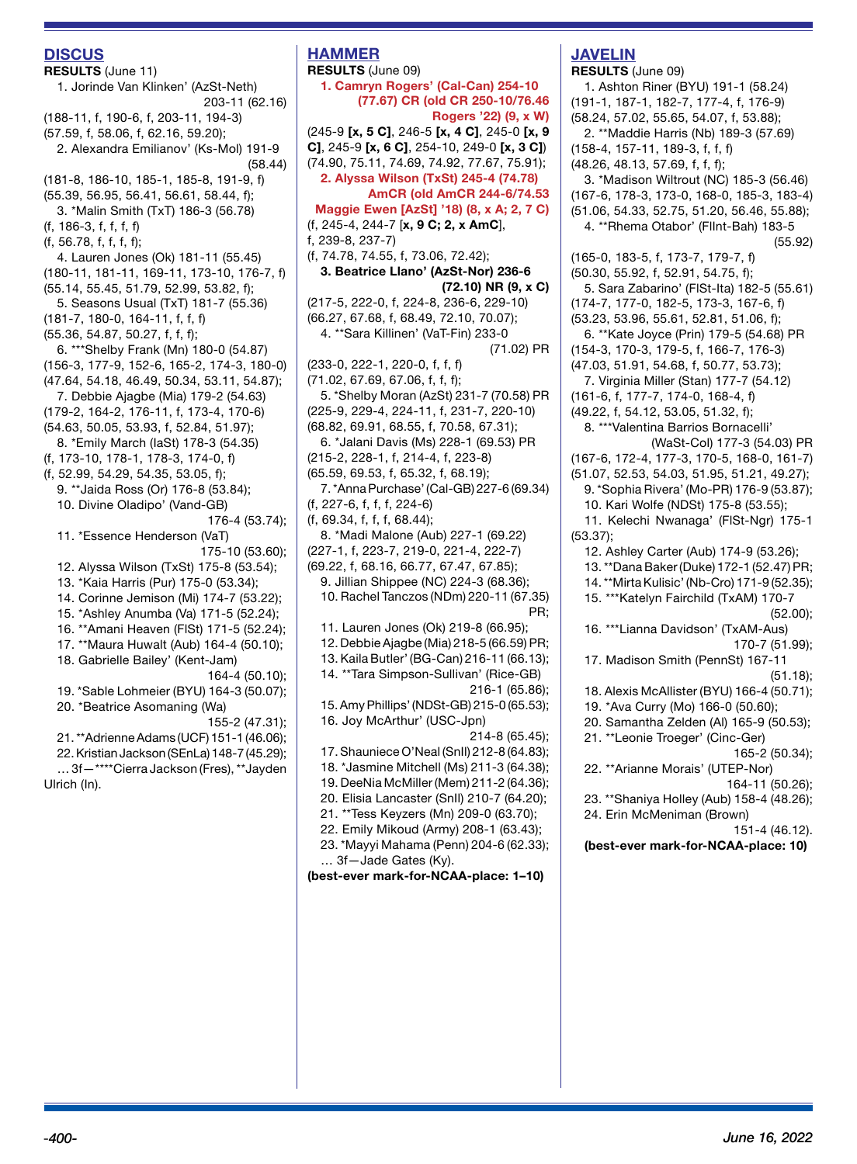#### **DISCUS**

**RESULTS** (June 11) 1. Jorinde Van Klinken' (AzSt-Neth) 203-11 (62.16) (188-11, f, 190-6, f, 203-11, 194-3) (57.59, f, 58.06, f, 62.16, 59.20); 2. Alexandra Emilianov' (Ks-Mol) 191-9 (58.44) (181-8, 186-10, 185-1, 185-8, 191-9, f) (55.39, 56.95, 56.41, 56.61, 58.44, f); 3. \*Malin Smith (TxT) 186-3 (56.78) (f, 186-3, f, f, f, f) (f, 56.78, f, f, f, f); 4. Lauren Jones (Ok) 181-11 (55.45) (180-11, 181-11, 169-11, 173-10, 176-7, f) (55.14, 55.45, 51.79, 52.99, 53.82, f); 5. Seasons Usual (TxT) 181-7 (55.36) (181-7, 180-0, 164-11, f, f, f) (55.36, 54.87, 50.27, f, f, f); 6. \*\*\*Shelby Frank (Mn) 180-0 (54.87) (156-3, 177-9, 152-6, 165-2, 174-3, 180-0) (47.64, 54.18, 46.49, 50.34, 53.11, 54.87); 7. Debbie Ajagbe (Mia) 179-2 (54.63) (179-2, 164-2, 176-11, f, 173-4, 170-6) (54.63, 50.05, 53.93, f, 52.84, 51.97); 8. \*Emily March (IaSt) 178-3 (54.35) (f, 173-10, 178-1, 178-3, 174-0, f) (f, 52.99, 54.29, 54.35, 53.05, f); 9. \*\*Jaida Ross (Or) 176-8 (53.84); 10. Divine Oladipo' (Vand-GB) 176-4 (53.74); 11. \*Essence Henderson (VaT) 175-10 (53.60); 12. Alyssa Wilson (TxSt) 175-8 (53.54); 13. \*Kaia Harris (Pur) 175-0 (53.34); 14. Corinne Jemison (Mi) 174-7 (53.22); 15. \*Ashley Anumba (Va) 171-5 (52.24); 16. \*\*Amani Heaven (FlSt) 171-5 (52.24); 17. \*\*Maura Huwalt (Aub) 164-4 (50.10); 18. Gabrielle Bailey' (Kent-Jam) 164-4 (50.10); 19. \*Sable Lohmeier (BYU) 164-3 (50.07); 20. \*Beatrice Asomaning (Wa) 155-2 (47.31); 21. \*\*Adrienne Adams (UCF) 151-1 (46.06); 22. Kristian Jackson (SEnLa) 148-7 (45.29); … 3f—\*\*\*\*Cierra Jackson (Fres), \*\*Jayden Ulrich (In).

# **HAMMER**

**RESULTS** (June 09) **1. Camryn Rogers' (Cal-Can) 254-10 (77.67) CR (old CR 250-10/76.46 Rogers '22) (9, x W)**  (245-9 **[x, 5 C]**, 246-5 **[x, 4 C]**, 245-0 **[x, 9 C]**, 245-9 **[x, 6 C]**, 254-10, 249-0 **[x, 3 C]**) (74.90, 75.11, 74.69, 74.92, 77.67, 75.91); **2. Alyssa Wilson (TxSt) 245-4 (74.78) AmCR (old AmCR 244-6/74.53 Maggie Ewen [AzSt] '18) (8, x A; 2, 7 C)**  (f, 245-4, 244-7 [**x, 9 C; 2, x AmC**], f, 239-8, 237-7) (f, 74.78, 74.55, f, 73.06, 72.42); **3. Beatrice Llano' (AzSt-Nor) 236-6 (72.10) NR (9, x C)** (217-5, 222-0, f, 224-8, 236-6, 229-10) (66.27, 67.68, f, 68.49, 72.10, 70.07); 4. \*\*Sara Killinen' (VaT-Fin) 233-0 (71.02) PR (233-0, 222-1, 220-0, f, f, f) (71.02, 67.69, 67.06, f, f, f); 5. \*Shelby Moran (AzSt) 231-7 (70.58) PR (225-9, 229-4, 224-11, f, 231-7, 220-10) (68.82, 69.91, 68.55, f, 70.58, 67.31); 6. \*Jalani Davis (Ms) 228-1 (69.53) PR (215-2, 228-1, f, 214-4, f, 223-8) (65.59, 69.53, f, 65.32, f, 68.19); 7. \*Anna Purchase' (Cal-GB) 227-6 (69.34) (f, 227-6, f, f, f, 224-6) (f, 69.34, f, f, f, 68.44); 8. \*Madi Malone (Aub) 227-1 (69.22) (227-1, f, 223-7, 219-0, 221-4, 222-7) (69.22, f, 68.16, 66.77, 67.47, 67.85); 9. Jillian Shippee (NC) 224-3 (68.36); 10. Rachel Tanczos (NDm) 220-11 (67.35) PR; 11. Lauren Jones (Ok) 219-8 (66.95); 12. Debbie Ajagbe (Mia) 218-5 (66.59) PR; 13. Kaila Butler' (BG-Can) 216-11 (66.13); 14. \*\*Tara Simpson-Sullivan' (Rice-GB) 216-1 (65.86); 15. Amy Phillips' (NDSt-GB) 215-0 (65.53); 16. Joy McArthur' (USC-Jpn) 214-8 (65.45); 17. Shauniece O'Neal (SnIl) 212-8 (64.83); 18. \*Jasmine Mitchell (Ms) 211-3 (64.38); 19. DeeNia McMiller (Mem) 211-2 (64.36); 20. Elisia Lancaster (SnIl) 210-7 (64.20); 21. \*\*Tess Keyzers (Mn) 209-0 (63.70); 22. Emily Mikoud (Army) 208-1 (63.43); 23. \*Mayyi Mahama (Penn) 204-6 (62.33); … 3f—Jade Gates (Ky). **(best-ever mark-for-NCAA-place: 1–10)**

# **JAVELIN**

**RESULTS** (June 09) 1. Ashton Riner (BYU) 191-1 (58.24) (191-1, 187-1, 182-7, 177-4, f, 176-9) (58.24, 57.02, 55.65, 54.07, f, 53.88); 2. \*\*Maddie Harris (Nb) 189-3 (57.69) (158-4, 157-11, 189-3, f, f, f) (48.26, 48.13, 57.69, f, f, f); 3. \*Madison Wiltrout (NC) 185-3 (56.46) (167-6, 178-3, 173-0, 168-0, 185-3, 183-4) (51.06, 54.33, 52.75, 51.20, 56.46, 55.88); 4. \*\*Rhema Otabor' (FlInt-Bah) 183-5 (55.92) (165-0, 183-5, f, 173-7, 179-7, f) (50.30, 55.92, f, 52.91, 54.75, f); 5. Sara Zabarino' (FlSt-Ita) 182-5 (55.61) (174-7, 177-0, 182-5, 173-3, 167-6, f) (53.23, 53.96, 55.61, 52.81, 51.06, f); 6. \*\*Kate Joyce (Prin) 179-5 (54.68) PR (154-3, 170-3, 179-5, f, 166-7, 176-3) (47.03, 51.91, 54.68, f, 50.77, 53.73); 7. Virginia Miller (Stan) 177-7 (54.12) (161-6, f, 177-7, 174-0, 168-4, f) (49.22, f, 54.12, 53.05, 51.32, f); 8. \*\*\*Valentina Barrios Bornacelli' (WaSt-Col) 177-3 (54.03) PR (167-6, 172-4, 177-3, 170-5, 168-0, 161-7) (51.07, 52.53, 54.03, 51.95, 51.21, 49.27); 9. \*Sophia Rivera' (Mo-PR) 176-9 (53.87); 10. Kari Wolfe (NDSt) 175-8 (53.55); 11. Kelechi Nwanaga' (FlSt-Ngr) 175-1 (53.37); 12. Ashley Carter (Aub) 174-9 (53.26); 13. \*\*Dana Baker (Duke) 172-1 (52.47) PR; 14. \*\*Mirta Kulisic' (Nb-Cro) 171-9 (52.35); 15. \*\*\*Katelyn Fairchild (TxAM) 170-7 (52.00); 16. \*\*\*Lianna Davidson' (TxAM-Aus) 170-7 (51.99); 17. Madison Smith (PennSt) 167-11 (51.18); 18. Alexis McAllister (BYU) 166-4 (50.71); 19. \*Ava Curry (Mo) 166-0 (50.60); 20. Samantha Zelden (Al) 165-9 (50.53); 21. \*\*Leonie Troeger' (Cinc-Ger) 165-2 (50.34); 22. \*\*Arianne Morais' (UTEP-Nor) 164-11 (50.26); 23. \*\*Shaniya Holley (Aub) 158-4 (48.26); 24. Erin McMeniman (Brown) 151-4 (46.12). **(best-ever mark-for-NCAA-place: 10)**